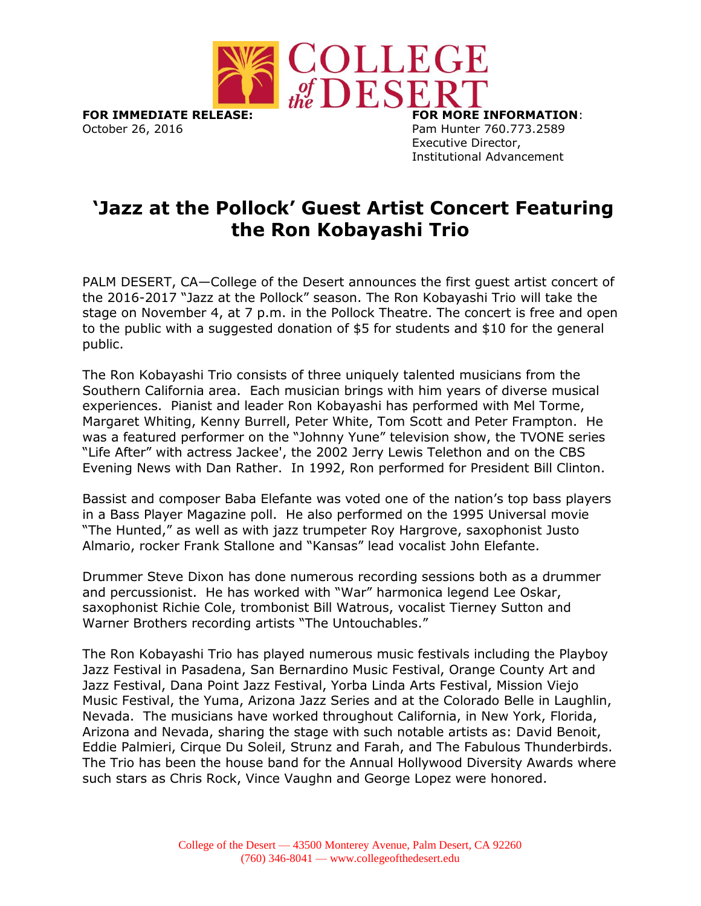

**FOR IMMEDIATE RELEASE: FOR MORE INFORMATION**: October 26, 2016 **Pam Hunter 760.773.2589** 

Executive Director, Institutional Advancement

## **'Jazz at the Pollock' Guest Artist Concert Featuring the Ron Kobayashi Trio**

PALM DESERT, CA—College of the Desert announces the first guest artist concert of the 2016-2017 "Jazz at the Pollock" season. The Ron Kobayashi Trio will take the stage on November 4, at 7 p.m. in the Pollock Theatre. The concert is free and open to the public with a suggested donation of \$5 for students and \$10 for the general public.

The Ron Kobayashi Trio consists of three uniquely talented musicians from the Southern California area. Each musician brings with him years of diverse musical experiences. Pianist and leader Ron Kobayashi has performed with Mel Torme, Margaret Whiting, Kenny Burrell, Peter White, Tom Scott and Peter Frampton. He was a featured performer on the "Johnny Yune" television show, the TVONE series "Life After" with actress Jackee', the 2002 Jerry Lewis Telethon and on the CBS Evening News with Dan Rather. In 1992, Ron performed for President Bill Clinton.

Bassist and composer Baba Elefante was voted one of the nation's top bass players in a Bass Player Magazine poll. He also performed on the 1995 Universal movie "The Hunted," as well as with jazz trumpeter Roy Hargrove, saxophonist Justo Almario, rocker Frank Stallone and "Kansas" lead vocalist John Elefante.

Drummer Steve Dixon has done numerous recording sessions both as a drummer and percussionist. He has worked with "War" harmonica legend Lee Oskar, saxophonist Richie Cole, trombonist Bill Watrous, vocalist Tierney Sutton and Warner Brothers recording artists "The Untouchables."

The Ron Kobayashi Trio has played numerous music festivals including the Playboy Jazz Festival in Pasadena, San Bernardino Music Festival, Orange County Art and Jazz Festival, Dana Point Jazz Festival, Yorba Linda Arts Festival, Mission Viejo Music Festival, the Yuma, Arizona Jazz Series and at the Colorado Belle in Laughlin, Nevada. The musicians have worked throughout California, in New York, Florida, Arizona and Nevada, sharing the stage with such notable artists as: David Benoit, Eddie Palmieri, Cirque Du Soleil, Strunz and Farah, and The Fabulous Thunderbirds. The Trio has been the house band for the Annual Hollywood Diversity Awards where such stars as Chris Rock, Vince Vaughn and George Lopez were honored.